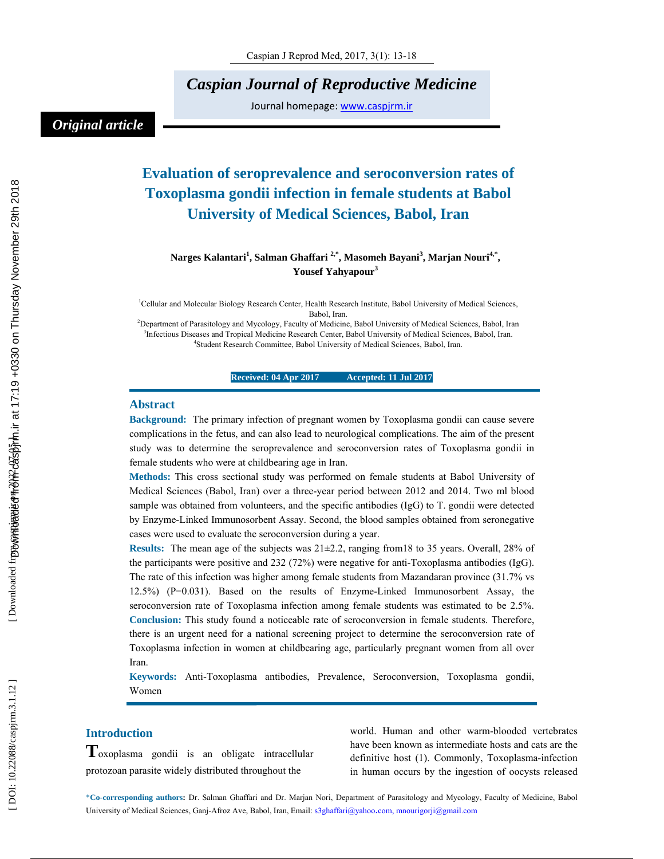*Caspian Journal of Reproductive Medicine* 

Journal homepage: www.caspjrm.ir

## *Original article*

# **Evaluation of seroprevalence and seroconversion rates of Toxoplasma gondii infection in female students at Babol University of Medical Sciences, Babol, Iran**

 $N$ arges Kalantari<sup>1</sup>, Salman Ghaffari <sup>2,\*</sup>, Masomeh Bayani<sup>3</sup>, Marjan Nouri<sup>4,\*</sup>, **Yousef Yahyapour 3**

<sup>1</sup>Cellular and Molecular Biology Research Center, Health Research Institute, Babol University of Medical Sciences, Babol, Iran.

<sup>2</sup> Department of Parasitology and Mycology, Faculty of Medicine, Babol University of Medical Sciences, Babol, Iran <sup>3</sup> Infectious Diseases and Tranical Medicine Because Center, Babol University of Medical Sciences, Babol, <sup>3</sup>Infectious Diseases and Tropical Medicine Research Center, Babol University of Medical Sciences, Babol, Iran. Student Research Committee, Babol University of Medical Sciences, Babol, Iran.

#### **Received: 04 Apr 2017 Accepted: 11 Jul 2017**

#### **Abstract**

**Background:** The primary infection of pregnant women by Toxoplasma gondii can cause severe complications in the fetus, and can also lead to neurological complications. The aim of the present study was to determine the seroprevalence and seroconversion rates of Toxoplasma gondii in female students who were at childbearing age in Iran.

**Methods:** This cross sectional study was performed on female students at Babol University of Medical Sciences (Babol, Iran) over a three-year period between 2012 and 2014. Two ml blood sample was obtained from volunteers, and the specific antibodies (IgG) to T. gondii were detected by Enzyme-Linked Immunosorbent Assay. Second, the blood samples obtained from seronegative cases were used to evaluate the seroconversion during a year.

**Results:** The mean age of the subjects was 21±2.2, ranging from18 to 35 years. Overall, 28% of the participants were positive and 232 (72%) were negative for anti-Toxoplasma antibodies (IgG). The rate of this infection was higher among female students from Mazandaran province (31.7% vs 12.5%) (P=0.031). Based on the results of Enzyme-Linked Immunosorbent Assay, the seroconversion rate of Toxoplasma infection among female students was estimated to be 2.5%. **Conclusion:** This study found a noticeable rate of seroconversion in female students. Therefore, there is an urgent need for a national screening project to determine the seroconversion rate of Toxoplasma infection in women at childbearing age, particularly pregnant women from all over Iran.

**Keywords:** Anti-Toxoplasma antibodies, Prevalence, Seroconversion, Toxoplasma gondii, Women

**Introduction T**oxoplasma gondii is an obligate intracellular protozoan parasite widely distributed throughout the

world. Human and other warm-blooded vertebrates have been known as intermediate hosts and cats are the definitive host (1). Commonly, Toxoplasma-infection in human occurs by the ingestion of oocysts released

\***Co-corresponding authors :** Dr. Salman Ghaffari and Dr. Marjan Nori, Department of Parasitology and Mycology, Faculty of Medicine, Babol University of Medical Sciences, Ganj-Afroz Ave, Babol, Iran, Email: s3ghaffari@yahoo.com, mnourigorji@gmail.com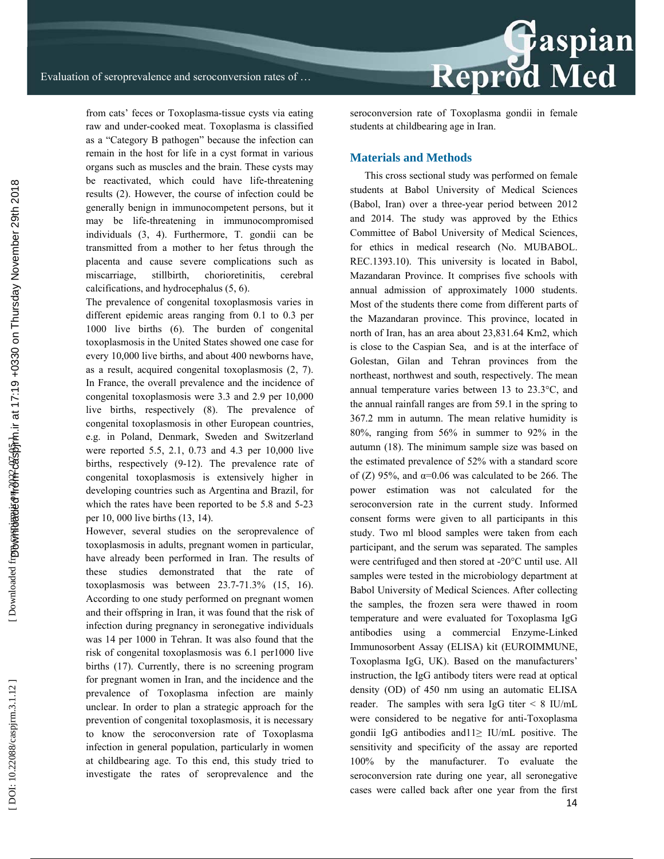from cats' feces or Toxoplasma-tissue cysts via eating raw and under-cooked meat. Toxoplasma is classified as a "Category B pathogen" because the infection can remain in the host for life in a cyst format in various organs such as muscles and the brain. These cysts may be reactivated, which could have life-threatening results (2). However, the course of infection could be generally benign in immunocompetent persons, but it may be life-threatening in immunocompromised individuals (3, 4). Furthermore, T. gondii can be transmitted from a mother to her fetus through the placenta and cause severe complications such as miscarriage, stillbirth, chorioretinitis, cerebral calcifications, and hydrocephalus (5, 6).

The prevalence of congenital toxoplasmosis varies in different epidemic areas ranging from 0.1 to 0.3 per 1000 live births (6). The burden of congenital toxoplasmosis in the United States showed one case for every 10,000 live births, and about 400 newborns have, as a result, acquired congenital toxoplasmosis (2, 7). In France, the overall prevalence and the incidence of congenital toxoplasmosis were 3.3 and 2.9 per 10,000 live births, respectively (8). The prevalence of congenital toxoplasmosis in other European countries, e.g. in Poland, Denmark, Sweden and Switzerland were reported 5.5, 2.1, 0.73 and 4.3 per 10,000 live births, respectively (9-12). The prevalence rate of congenital toxoplasmosis is extensively higher in developing countries such as Argentina and Brazil, for which the rates have been reported to be 5.8 and 5-23 per 10, 000 live births (13, 14).

However, several studies on the seroprevalence of toxoplasmosis in adults, pregnant women in particular, have already been performed in Iran. The results of these studies demonstrated that the rate of toxoplasmosis was between 23.7-71.3% (15, 16). According to one study performed on pregnant women and their offspring in Iran, it was found that the risk of infection during pregnancy in seronegative individuals was 14 per 1000 in Tehran. It was also found that the risk of congenital toxoplasmosis was 6.1 per1000 live births (17). Currently, there is no screening program for pregnant women in Iran, and the incidence and the prevalence of Toxoplasma infection are mainly unclear. In order to plan a strategic approach for the prevention of congenital toxoplasmosis, it is necessary to know the seroconversion rate of Toxoplasma infection in general population, particularly in women at childbearing age. To this end, this study tried to investigate the rates of seroprevalence and the

seroconversion rate of Toxoplasma gondii in female students at childbearing age in Iran.

#### **Materials and Methods**

This cross sectional study was performed on female students at Babol University of Medical Sciences (Babol, Iran) over a three-year period between 2012 and 2014. The study was approved by the Ethics Committee of Babol University of Medical Sciences, for ethics in medical research (No. MUBABOL. REC.1393.10). This university is located in Babol, Mazandaran Province. It comprises five schools with annual admission of approximately 1000 students. Most of the students there come from different parts of the Mazandaran province. This province, located in north of Iran, has an area about 23,831.64 Km2, which is close to the Caspian Sea, and is at the interface of Golestan, Gilan and Tehran provinces from the northeast, northwest and south, respectively. The mean annual temperature varies between 13 to 23.3°C, and the annual rainfall ranges are from 59.1 in the spring to 367.2 mm in autumn. The mean relative humidity is 80%, ranging from 56% in summer to 92% in the autumn (18). The minimum sample size was based on the estimated prevalence of 52% with a standard score of  $(Z)$  95%, and  $\alpha$ =0.06 was calculated to be 266. The power estimation was not calculated for the seroconversion rate in the current study. Informed consent forms were given to all participants in this study. Two ml blood samples were taken from each participant, and the serum was separated. The samples were centrifuged and then stored at -20°C until use. All samples were tested in the microbiology department at Babol University of Medical Sciences. After collecting the samples, the frozen sera were thawed in room temperature and were evaluated for Toxoplasma IgG antibodies using a commercial Enzyme-Linked Immunosorbent Assay (ELISA) kit (EUROIMMUNE, Toxoplasma IgG, UK). Based on the manufacturers' instruction, the IgG antibody titers were read at optical density (OD) of 450 nm using an automatic ELISA reader. The samples with sera IgG titer  $\leq 8$  IU/mL were considered to be negative for anti-Toxoplasma gondii IgG antibodies and  $1 \geq I U/mL$  positive. The sensitivity and specificity of the assay are reported 100% by the manufacturer. To evaluate the seroconversion rate during one year, all seronegative cases were called back after one year from the first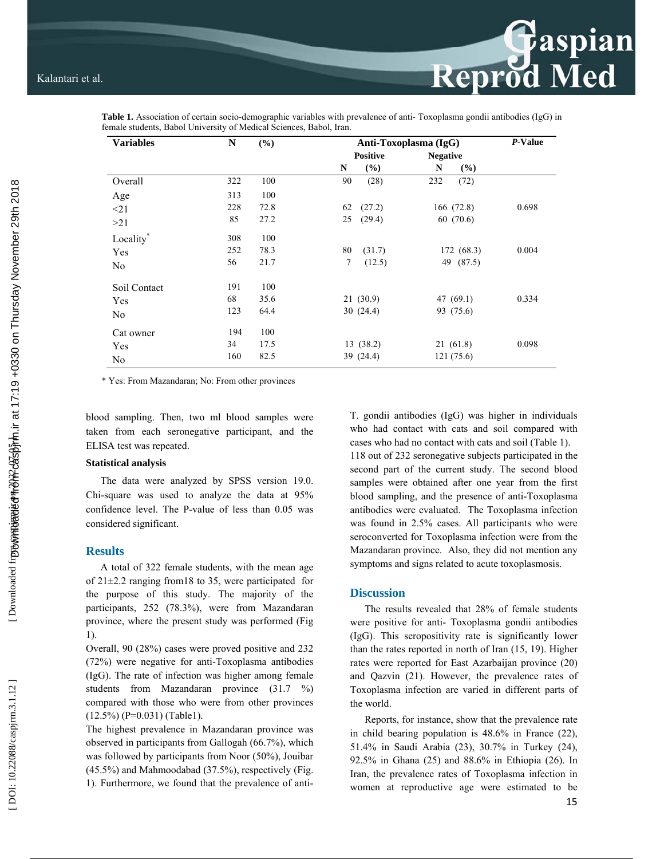

**Table 1.** Association of certain socio-demographic variables with prevalence of anti- Toxoplasma gondii antibodies (IgG) in female students, Babol University of Medical Sciences, Babol, Iran.

\* Yes: From Mazandaran; No: From other provinces

blood sampling. Then, two ml blood samples were taken from each seronegative participant, and the ELISA test was repeated.

#### **Statistical analysis**

The data were analyzed by SPSS version 19.0. Chi-square was used to analyze the data at 95% confidence level. The P-value of less than 0.05 was considered significant.

#### **Results**

A total of 322 female students, with the mean age of 21±2.2 ranging from18 to 35, were participated for the purpose of this study. The majority of the participants, 252 (78.3%), were from Mazandaran province, where the present study was performed (Fig 1).

Overall, 90 (28%) cases were proved positive and 232 (72%) were negative for anti-Toxoplasma antibodies (IgG). The rate of infection was higher among female students from Mazandaran province (31.7 %) compared with those who were from other provinces  $(12.5\%)$  (P=0.031) (Table1).

The highest prevalence in Mazandaran province was observed in participants from Gallogah (66.7%), which was followed by participants from Noor (50%), Jouibar (45.5%) and Mahmoodabad (37.5%), respectively (Fig. 1). Furthermore, we found that the prevalence of antiT. gondii antibodies (IgG) was higher in individuals who had contact with cats and soil compared with cases who had no contact with cats and soil (Table 1). 118 out of 232 seronegative subjects participated in the second part of the current study. The second blood samples were obtained after one year from the first blood sampling, and the presence of anti-Toxoplasma antibodies were evaluated. The Toxoplasma infection was found in 2.5% cases. All participants who were seroconverted for Toxoplasma infection were from the Mazandaran province. Also, they did not mention any symptoms and signs related to acute toxoplasmosis.

Reprod Med

#### **Discussion**

The results revealed that 28% of female students were positive for anti- Toxoplasma gondii antibodies (IgG). This seropositivity rate is significantly lower than the rates reported in north of Iran (15, 19). Higher rates were reported for East Azarbaijan province (20) and Qazvin (21). However, the prevalence rates of Toxoplasma infection are varied in different parts of the world.

Reports, for instance, show that the prevalence rate in child bearing population is 48.6% in France (22), 51.4% in Saudi Arabia (23), 30.7% in Turkey (24), 92.5% in Ghana (25) and 88.6% in Ethiopia (26). In Iran, the prevalence rates of Toxoplasma infection in women at reproductive age were estimated to be

DOI: 10.22088/caspjrm.3.1.12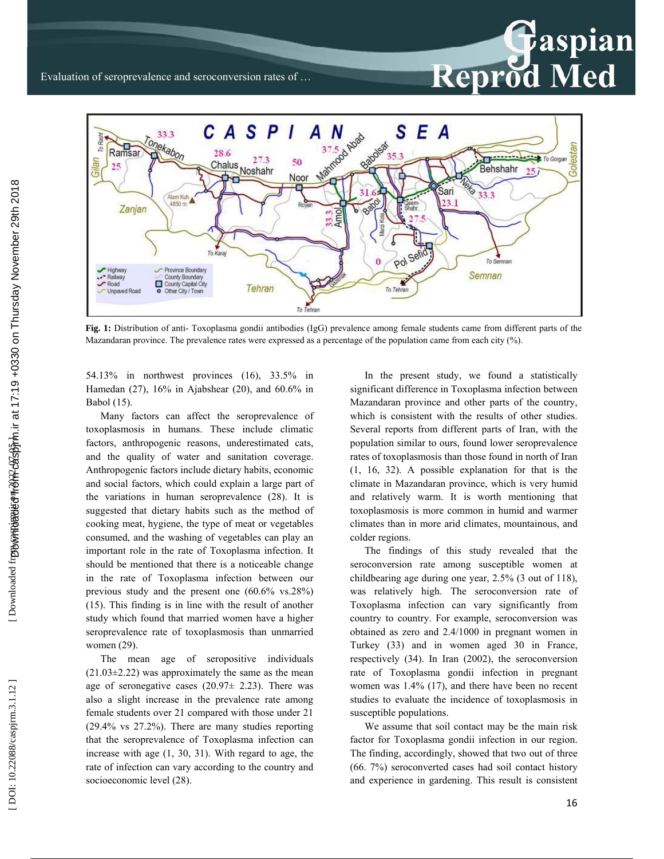

**Fig. 1:** Distribution of anti- Toxoplasma gondii antibodies (IgG) prevalence among female students came from different parts of the Mazandaran province. The prevalence rates were expressed as a percentage of the population came from each city (%).

54.13% in northwest provinces (16), 33.5% in Hamedan (27), 16% in Ajabshear (20), and 60.6% in Babol (15).

Many factors can affect the seroprevalence of toxoplasmosis in humans. These include climatic factors, anthropogenic reasons, underestimated cats, and the quality of water and sanitation coverage. Anthropogenic factors include dietary habits, economic and social factors, which could explain a large part of the variations in human seroprevalence (28). It is suggested that dietary habits such as the method of cooking meat, hygiene, the type of meat or vegetables consumed, and the washing of vegetables can play an important role in the rate of Toxoplasma infection. It should be mentioned that there is a noticeable change in the rate of Toxoplasma infection between our previous study and the present one (60.6% vs.28%) (15). This finding is in line with the result of another study which found that married women have a higher seroprevalence rate of toxoplasmosis than unmarried women (29).

The mean age of seropositive individuals  $(21.03\pm2.22)$  was approximately the same as the mean age of seronegative cases  $(20.97\pm 2.23)$ . There was also a slight increase in the prevalence rate among female students over 21 compared with those under 21 (29.4% vs 27.2%). There are many studies reporting that the seroprevalence of Toxoplasma infection can increase with age (1, 30, 31). With regard to age, the rate of infection can vary according to the country and socioeconomic level (28).

In the present study, we found a statistically significant difference in Toxoplasma infection between Mazandaran province and other parts of the country, which is consistent with the results of other studies. Several reports from different parts of Iran, with the population similar to ours, found lower seroprevalence rates of toxoplasmosis than those found in north of Iran (1, 16, 32). A possible explanation for that is the climate in Mazandaran province, which is very humid and relatively warm. It is worth mentioning that toxoplasmosis is more common in humid and warmer climates than in more arid climates, mountainous, and colder regions.

Reprod Med

The findings of this study revealed that the seroconversion rate among susceptible women at childbearing age during one year, 2.5% (3 out of 118), was relatively high. The seroconversion rate of Toxoplasma infection can vary significantly from country to country. For example, seroconversion was obtained as zero and 2.4/1000 in pregnant women in Turkey (33) and in women aged 30 in France, respectively (34). In Iran (2002), the seroconversion rate of Toxoplasma gondii infection in pregnant women was 1.4% (17), and there have been no recent studies to evaluate the incidence of toxoplasmosis in susceptible populations.

We assume that soil contact may be the main risk factor for Toxoplasma gondii infection in our region. The finding, accordingly, showed that two out of three (66. 7%) seroconverted cases had soil contact history and experience in gardening. This result is consistent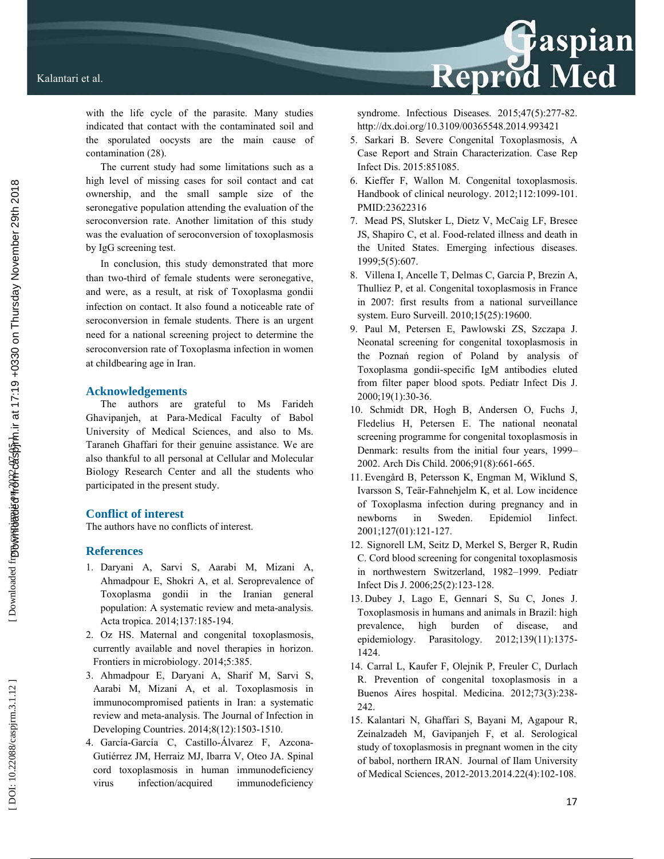Reprod Med

with the life cycle of the parasite. Many studies indicated that contact with the contaminated soil and the sporulated oocysts are the main cause of contamination (28).

The current study had some limitations such as a high level of missing cases for soil contact and cat ownership, and the small sample size of the seronegative population attending the evaluation of the seroconversion rate. Another limitation of this study was the evaluation of seroconversion of toxoplasmosis by IgG screening test.

In conclusion, this study demonstrated that more than two-third of female students were seronegative, and were, as a result, at risk of Toxoplasma gondii infection on contact. It also found a noticeable rate of seroconversion in female students. There is an urgent need for a national screening project to determine the seroconversion rate of Toxoplasma infection in women at childbearing age in Iran.

#### **Acknowledgements**

The authors are grateful to Ms Farideh Ghavipanjeh, at Para-Medical Faculty of Babol University of Medical Sciences, and also to Ms. Taraneh Ghaffari for their genuine assistance. We are also thankful to all personal at Cellular and Molecular Biology Research Center and all the students who participated in the present study.

### **Conflict of interest**

The authors have no conflicts of interest.

#### **References**

- 1. Daryani A, Sarvi S, Aarabi M, Mizani A, Ahmadpour E, Shokri A, et al. Seroprevalence of Toxoplasma gondii in the Iranian general population: A systematic review and meta-analysis. Acta tropica. 2014;137:185-194.
- 2. Oz HS. Maternal and congenital toxoplasmosis, currently available and novel therapies in horizon. Frontiers in microbiology. 2014;5:385.
- 3. Ahmadpour E, Daryani A, Sharif M, Sarvi S, Aarabi M, Mizani A, et al. Toxoplasmosis in immunocompromised patients in Iran: a systematic review and meta-analysis. The Journal of Infection in Developing Countries. 2014;8(12):1503-1510.
- 4. García-García C, Castillo-Álvarez F, Azcona-Gutiérrez JM, Herraiz MJ, Ibarra V, Oteo JA. Spinal cord toxoplasmosis in human immunodeficiency virus infection/acquired immunodeficiency

syndrome. Infectious Diseases. 2015;47(5):277-82. http://dx.doi.org/10.3109/00365548.2014.993421

- 5. Sarkari B. Severe Congenital Toxoplasmosis, A Case Report and Strain Characterization. Case Rep Infect Dis. 2015:851085.
- 6. Kieffer F, Wallon M. Congenital toxoplasmosis. Handbook of clinical neurology. 2012;112:1099-101. PMID:23622316
- 7. Mead PS, Slutsker L, Dietz V, McCaig LF, Bresee JS, Shapiro C, et al. Food-related illness and death in the United States. Emerging infectious diseases. 1999;5(5):607.
- 8. Villena I, Ancelle T, Delmas C, Garcia P, Brezin A, Thulliez P, et al. Congenital toxoplasmosis in France in 2007: first results from a national surveillance system. Euro Surveill. 2010;15(25):19600.
- 9. Paul M, Petersen E, Pawlowski ZS, Szczapa J. Neonatal screening for congenital toxoplasmosis in the Pozna ń region of Poland by analysis of Toxoplasma gondii-specific IgM antibodies eluted from filter paper blood spots. Pediatr Infect Dis J. 2000;19(1):30-36.
- 10. Schmidt DR, Hogh B, Andersen O, Fuchs J, Fledelius H, Petersen E. The national neonatal screening programme for congenital toxoplasmosis in Denmark: results from the initial four years, 1999– 2002. Arch Dis Child. 2006;91(8):661-665.
- 11. Evengård B, Petersson K, Engman M, Wiklund S, Ivarsson S, Teär-Fahnehjelm K, et al. Low incidence of Toxoplasma infection during pregnancy and in newborns in Sweden. Epidemiol Iinfect. 2001;127(01):121-127.
- 12. Signorell LM, Seitz D, Merkel S, Berger R, Rudin C. Cord blood screening for congenital toxoplasmosis in northwestern Switzerland, 1982–1999. Pediatr Infect Dis J. 2006;25(2):123-128.
- 13. Dubey J, Lago E, Gennari S, Su C, Jones J. Toxoplasmosis in humans and animals in Brazil: high prevalence, high burden of disease, and epidemiology. Parasitology. 2012;139(11):1375- 1424.
- 14. Carral L, Kaufer F, Olejnik P, Freuler C, Durlach R. Prevention of congenital toxoplasmosis in a Buenos Aires hospital. Medicina. 2012;73(3):238- 242.
- 15. Kalantari N, Ghaffari S, Bayani M, Agapour R, Zeinalzadeh M, Gavipanjeh F, et al. Serological study of toxoplasmosis in pregnant women in the city of babol, northern IRAN. Journal of Ilam University of Medical Sciences, 2012-2013.2014.22(4):102-108.